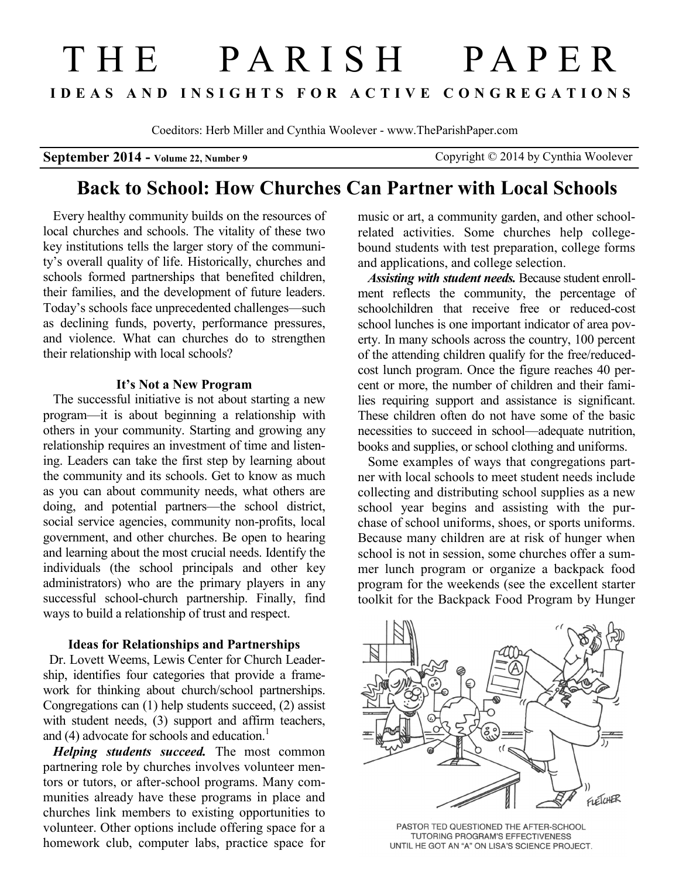# T H E P A R I S H P A P E R **I D E A S A N D I N S I G H T S F O R A C T I V E C O N G R E G A T I O N S**

Coeditors: Herb Miller and Cynthia Woolever - www.TheParishPaper.com

**September 2014 - Volume 22, Number 9** Copyright © 2014 by Cynthia Woolever

# **Back to School: How Churches Can Partner with Local Schools**

Every healthy community builds on the resources of local churches and schools. The vitality of these two key institutions tells the larger story of the community's overall quality of life. Historically, churches and schools formed partnerships that benefited children, their families, and the development of future leaders. Today's schools face unprecedented challenges—such as declining funds, poverty, performance pressures, and violence. What can churches do to strengthen their relationship with local schools?

#### **It's Not a New Program**

The successful initiative is not about starting a new program—it is about beginning a relationship with others in your community. Starting and growing any relationship requires an investment of time and listening. Leaders can take the first step by learning about the community and its schools. Get to know as much as you can about community needs, what others are doing, and potential partners—the school district, social service agencies, community non-profits, local government, and other churches. Be open to hearing and learning about the most crucial needs. Identify the individuals (the school principals and other key administrators) who are the primary players in any successful school-church partnership. Finally, find ways to build a relationship of trust and respect.

#### **Ideas for Relationships and Partnerships**

 Dr. Lovett Weems, Lewis Center for Church Leadership, identifies four categories that provide a framework for thinking about church/school partnerships. Congregations can (1) help students succeed, (2) assist with student needs, (3) support and affirm teachers, and (4) advocate for schools and education. $<sup>1</sup>$ </sup>

*Helping students succeed.* The most common partnering role by churches involves volunteer mentors or tutors, or after-school programs. Many communities already have these programs in place and churches link members to existing opportunities to volunteer. Other options include offering space for a homework club, computer labs, practice space for

music or art, a community garden, and other schoolrelated activities. Some churches help collegebound students with test preparation, college forms and applications, and college selection.

*Assisting with student needs.* Because student enrollment reflects the community, the percentage of schoolchildren that receive free or reduced-cost school lunches is one important indicator of area poverty. In many schools across the country, 100 percent of the attending children qualify for the free/reducedcost lunch program. Once the figure reaches 40 percent or more, the number of children and their families requiring support and assistance is significant. These children often do not have some of the basic necessities to succeed in school—adequate nutrition, books and supplies, or school clothing and uniforms.

Some examples of ways that congregations partner with local schools to meet student needs include collecting and distributing school supplies as a new school year begins and assisting with the purchase of school uniforms, shoes, or sports uniforms. Because many children are at risk of hunger when school is not in session, some churches offer a summer lunch program or organize a backpack food program for the weekends (see the excellent starter toolkit for the Backpack Food Program by Hunger



PASTOR TED QUESTIONED THE AFTER-SCHOOL TUTORING PROGRAM'S EFFECTIVENESS UNTIL HE GOT AN "A" ON LISA'S SCIENCE PROJECT.